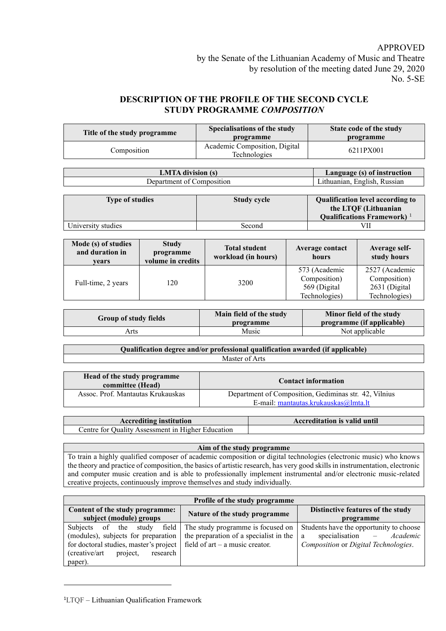## APPROVED

# **DESCRIPTION OF THE PROFILE OF THE SECOND CYCLE STUDY PROGRAMME** *COMPOSITION*

| Title of the study programme                            | Specialisations of the study<br>programme     | State code of the study<br>programme |
|---------------------------------------------------------|-----------------------------------------------|--------------------------------------|
| Composition                                             | Academic Composition, Digital<br>Technologies | 6211PX001                            |
| Language (s) of instruction<br><b>LMTA</b> division (s) |                                               |                                      |

| LIVI LA GIVISION (S)      | Language (s) of instruction   |
|---------------------------|-------------------------------|
| Department of Composition | Lithuanian. English. Russian- |

| <b>Type of studies</b> | <b>Study cycle</b> | Qualification level according to<br>the LTQF (Lithuanian |
|------------------------|--------------------|----------------------------------------------------------|
|                        |                    | Qualifications Framework) <sup>1</sup>                   |
| University studies     | Second             | VII                                                      |

| Mode (s) of studies<br>and duration in<br>vears | <b>Study</b><br>programme<br>volume in credits | <b>Total student</b><br>workload (in hours) | Average contact<br>hours      | Average self-<br>study hours   |
|-------------------------------------------------|------------------------------------------------|---------------------------------------------|-------------------------------|--------------------------------|
|                                                 |                                                |                                             | 573 (Academic<br>Composition) | 2527 (Academic<br>Composition) |
| Full-time, 2 years                              | 120                                            | 3200                                        | 569 (Digital<br>Technologies) | 2631 (Digital<br>Technologies) |

| Group of study fields | Main field of the study<br>programme | Minor field of the study<br>programme (if applicable) |
|-----------------------|--------------------------------------|-------------------------------------------------------|
| Arts                  | Music                                | Not applicable                                        |

| Qualification degree and/or professional qualification awarded (if applicable) |  |
|--------------------------------------------------------------------------------|--|
| Master of Arts                                                                 |  |

| Head of the study programme<br>committee (Head) | <b>Contact information</b>                                                                    |
|-------------------------------------------------|-----------------------------------------------------------------------------------------------|
| Assoc. Prof. Mantautas Krukauskas               | Department of Composition, Gediminas str. 42, Vilnius<br>E-mail: mantautas.krukauskas@lmta.lt |
|                                                 |                                                                                               |

| <b>Accrediting institution</b>                    | Accreditation is valid until |
|---------------------------------------------------|------------------------------|
| Centre for Ouality Assessment in Higher Education |                              |

#### **Aim of the study programme**

To train a highly qualified composer of academic composition or digital technologies (electronic music) who knows the theory and practice of composition, the basics of artistic research, has very good skills in instrumentation, electronic and computer music creation and is able to professionally implement instrumental and/or electronic music-related creative projects, continuously improve themselves and study individually.

| Profile of the study programme         |                                        |                                         |
|----------------------------------------|----------------------------------------|-----------------------------------------|
| Content of the study programme:        | Nature of the study programme          | Distinctive features of the study       |
| subject (module) groups                |                                        | programme                               |
| field<br>Subjects of the<br>study      | The study programme is focused on      | Students have the opportunity to choose |
| (modules), subjects for preparation    | the preparation of a specialist in the | specialisation<br>- Academic<br>a       |
| for doctoral studies, master's project | field of $art - a$ music creator.      | Composition or Digital Technologies.    |
| (creative/art<br>project,<br>research  |                                        |                                         |
| paper).                                |                                        |                                         |

<sup>1</sup>LTQF – Lithuanian Qualification Framework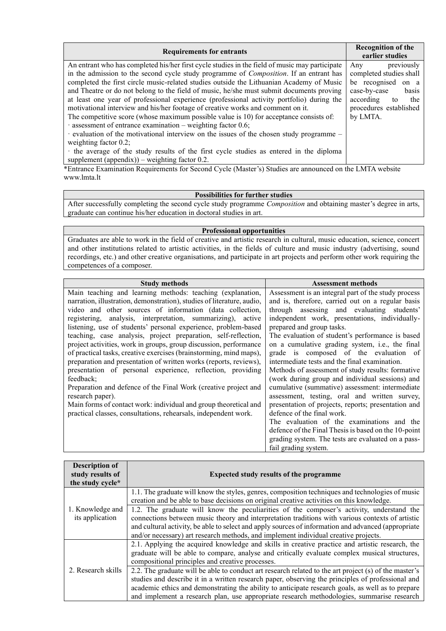| <b>Requirements for entrants</b>                                                               | <b>Recognition of the</b><br>earlier studies |
|------------------------------------------------------------------------------------------------|----------------------------------------------|
| An entrant who has completed his/her first cycle studies in the field of music may participate | previously                                   |
| in the admission to the second cycle study programme of <i>Composition</i> . If an entrant has | Any                                          |
| completed the first circle music-related studies outside the Lithuanian Academy of Music       | completed studies shall                      |
| and Theatre or do not belong to the field of music, he/she must submit documents proving       | be recognised                                |
| at least one year of professional experience (professional activity portfolio) during the      | on a                                         |
| motivational interview and his/her footage of creative works and comment on it.                | case-by-case                                 |
| The competitive score (whose maximum possible value is 10) for acceptance consists of:         | basis                                        |
| $\cdot$ assessment of entrance examination – weighting factor 0.6;                             | according                                    |
| $\cdot$ evaluation of the motivational interview on the issues of the chosen study programme – | the                                          |
| weighting factor $0.2$ ;                                                                       | to                                           |
| the average of the study results of the first cycle studies as entered in the diploma          | procedures established                       |
| supplement (appendix)) – weighting factor 0.2.                                                 | by LMTA.                                     |

\*Entrance Examination Requirements for Second Cycle (Master's) Studies are announced on the LMTA website www.lmta.lt

### **Possibilities for further studies**

After successfully completing the second cycle study programme *Composition* and obtaining master's degree in arts, graduate can continue his/her education in doctoral studies in art.

#### **Professional opportunities**

Graduates are able to work in the field of creative and artistic research in cultural, music education, science, concert and other institutions related to artistic activities, in the fields of culture and music industry (advertising, sound recordings, etc.) and other creative organisations, and participate in art projects and perform other work requiring the competences of a composer.

| <b>Study methods</b>                                                   | <b>Assessment methods</b>                            |
|------------------------------------------------------------------------|------------------------------------------------------|
| Main teaching and learning methods: teaching (explanation,             | Assessment is an integral part of the study process  |
| narration, illustration, demonstration), studies of literature, audio, | and is, therefore, carried out on a regular basis    |
| video and other sources of information (data collection,               | through assessing and evaluating students'           |
| registering, analysis, interpretation, summarizing), active            | independent work, presentations, individually-       |
| listening, use of students' personal experience, problem-based         | prepared and group tasks.                            |
| teaching, case analysis, project preparation, self-reflection,         | The evaluation of student's performance is based     |
| project activities, work in groups, group discussion, performance      | on a cumulative grading system, i.e., the final      |
| of practical tasks, creative exercises (brainstorming, mind maps),     | grade is composed of the evaluation of               |
| preparation and presentation of written works (reports, reviews),      | intermediate tests and the final examination.        |
| presentation of personal experience, reflection, providing             | Methods of assessment of study results: formative    |
| feedback;                                                              | (work during group and individual sessions) and      |
| Preparation and defence of the Final Work (creative project and        | cumulative (summative) assessment: intermediate      |
| research paper).                                                       | assessment, testing, oral and written survey,        |
| Main forms of contact work: individual and group theoretical and       | presentation of projects, reports; presentation and  |
| practical classes, consultations, rehearsals, independent work.        | defence of the final work.                           |
|                                                                        | The evaluation of the examinations and the           |
|                                                                        | defence of the Final Thesis is based on the 10-point |
|                                                                        | grading system. The tests are evaluated on a pass-   |
|                                                                        | fail grading system.                                 |

| <b>Description of</b><br>study results of<br>the study cycle* | <b>Expected study results of the programme</b>                                                                                                                                                                                                                                                                                                                                                               |
|---------------------------------------------------------------|--------------------------------------------------------------------------------------------------------------------------------------------------------------------------------------------------------------------------------------------------------------------------------------------------------------------------------------------------------------------------------------------------------------|
|                                                               | 1.1. The graduate will know the styles, genres, composition techniques and technologies of music<br>creation and be able to base decisions on original creative activities on this knowledge.                                                                                                                                                                                                                |
| 1. Knowledge and<br>its application                           | 1.2. The graduate will know the peculiarities of the composer's activity, understand the<br>connections between music theory and interpretation traditions with various contexts of artistic<br>and cultural activity, be able to select and apply sources of information and advanced (appropriate<br>and/or necessary) art research methods, and implement individual creative projects.                   |
|                                                               | 2.1. Applying the acquired knowledge and skills in creative practice and artistic research, the<br>graduate will be able to compare, analyse and critically evaluate complex musical structures,<br>compositional principles and creative processes.                                                                                                                                                         |
| 2. Research skills                                            | 2.2. The graduate will be able to conduct art research related to the art project (s) of the master's<br>studies and describe it in a written research paper, observing the principles of professional and<br>academic ethics and demonstrating the ability to anticipate research goals, as well as to prepare<br>and implement a research plan, use appropriate research methodologies, summarise research |